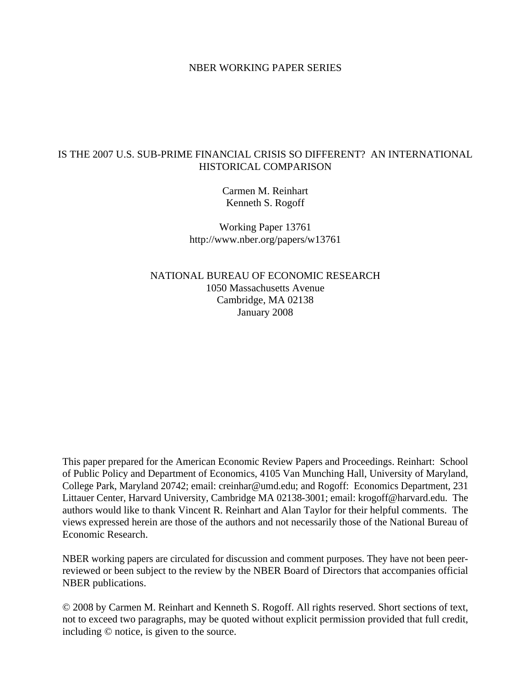# NBER WORKING PAPER SERIES

# IS THE 2007 U.S. SUB-PRIME FINANCIAL CRISIS SO DIFFERENT? AN INTERNATIONAL HISTORICAL COMPARISON

Carmen M. Reinhart Kenneth S. Rogoff

Working Paper 13761 http://www.nber.org/papers/w13761

NATIONAL BUREAU OF ECONOMIC RESEARCH 1050 Massachusetts Avenue Cambridge, MA 02138 January 2008

This paper prepared for the American Economic Review Papers and Proceedings. Reinhart: School of Public Policy and Department of Economics, 4105 Van Munching Hall, University of Maryland, College Park, Maryland 20742; email: creinhar@umd.edu; and Rogoff: Economics Department, 231 Littauer Center, Harvard University, Cambridge MA 02138-3001; email: krogoff@harvard.edu. The authors would like to thank Vincent R. Reinhart and Alan Taylor for their helpful comments. The views expressed herein are those of the authors and not necessarily those of the National Bureau of Economic Research.

NBER working papers are circulated for discussion and comment purposes. They have not been peerreviewed or been subject to the review by the NBER Board of Directors that accompanies official NBER publications.

© 2008 by Carmen M. Reinhart and Kenneth S. Rogoff. All rights reserved. Short sections of text, not to exceed two paragraphs, may be quoted without explicit permission provided that full credit, including © notice, is given to the source.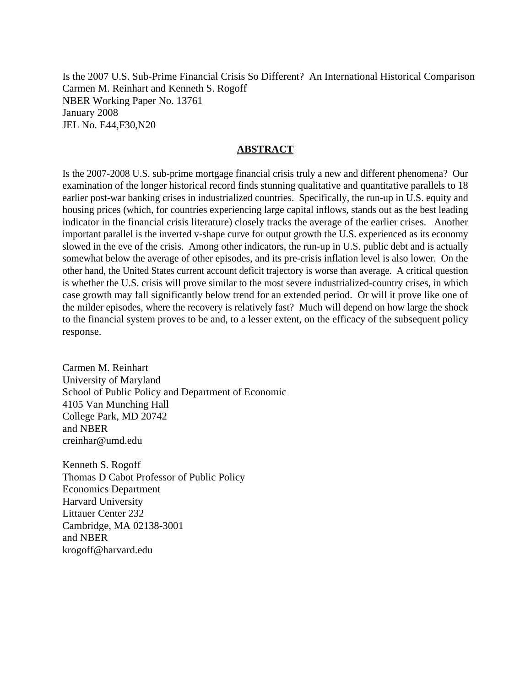Is the 2007 U.S. Sub-Prime Financial Crisis So Different? An International Historical Comparison Carmen M. Reinhart and Kenneth S. Rogoff NBER Working Paper No. 13761 January 2008 JEL No. E44,F30,N20

# **ABSTRACT**

Is the 2007-2008 U.S. sub-prime mortgage financial crisis truly a new and different phenomena? Our examination of the longer historical record finds stunning qualitative and quantitative parallels to 18 earlier post-war banking crises in industrialized countries. Specifically, the run-up in U.S. equity and housing prices (which, for countries experiencing large capital inflows, stands out as the best leading indicator in the financial crisis literature) closely tracks the average of the earlier crises. Another important parallel is the inverted v-shape curve for output growth the U.S. experienced as its economy slowed in the eve of the crisis. Among other indicators, the run-up in U.S. public debt and is actually somewhat below the average of other episodes, and its pre-crisis inflation level is also lower. On the other hand, the United States current account deficit trajectory is worse than average. A critical question is whether the U.S. crisis will prove similar to the most severe industrialized-country crises, in which case growth may fall significantly below trend for an extended period. Or will it prove like one of the milder episodes, where the recovery is relatively fast? Much will depend on how large the shock to the financial system proves to be and, to a lesser extent, on the efficacy of the subsequent policy response.

Carmen M. Reinhart University of Maryland School of Public Policy and Department of Economic 4105 Van Munching Hall College Park, MD 20742 and NBER creinhar@umd.edu

Kenneth S. Rogoff Thomas D Cabot Professor of Public Policy Economics Department Harvard University Littauer Center 232 Cambridge, MA 02138-3001 and NBER krogoff@harvard.edu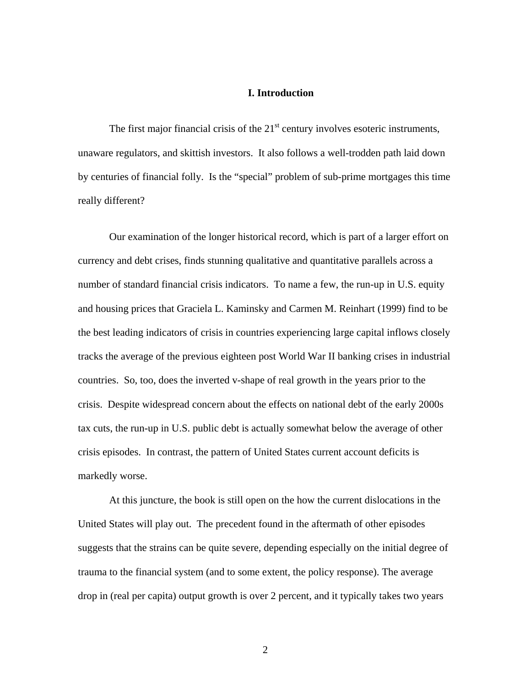# **I. Introduction**

The first major financial crisis of the  $21<sup>st</sup>$  century involves esoteric instruments, unaware regulators, and skittish investors. It also follows a well-trodden path laid down by centuries of financial folly. Is the "special" problem of sub-prime mortgages this time really different?

Our examination of the longer historical record, which is part of a larger effort on currency and debt crises, finds stunning qualitative and quantitative parallels across a number of standard financial crisis indicators. To name a few, the run-up in U.S. equity and housing prices that Graciela L. Kaminsky and Carmen M. Reinhart (1999) find to be the best leading indicators of crisis in countries experiencing large capital inflows closely tracks the average of the previous eighteen post World War II banking crises in industrial countries. So, too, does the inverted v-shape of real growth in the years prior to the crisis. Despite widespread concern about the effects on national debt of the early 2000s tax cuts, the run-up in U.S. public debt is actually somewhat below the average of other crisis episodes. In contrast, the pattern of United States current account deficits is markedly worse.

 At this juncture, the book is still open on the how the current dislocations in the United States will play out. The precedent found in the aftermath of other episodes suggests that the strains can be quite severe, depending especially on the initial degree of trauma to the financial system (and to some extent, the policy response). The average drop in (real per capita) output growth is over 2 percent, and it typically takes two years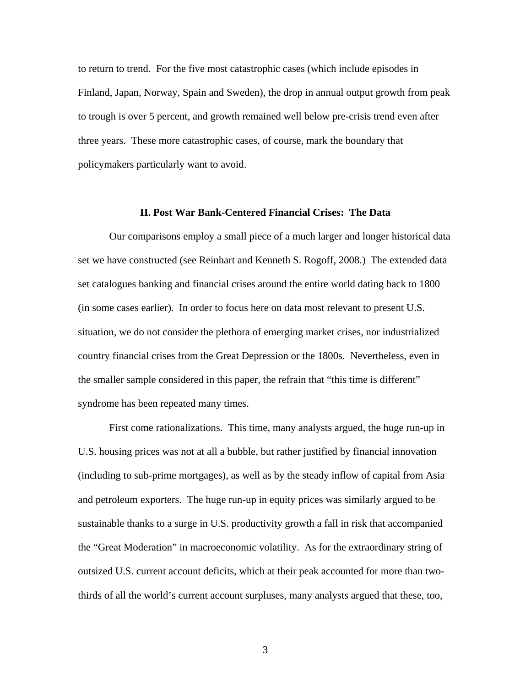to return to trend. For the five most catastrophic cases (which include episodes in Finland, Japan, Norway, Spain and Sweden), the drop in annual output growth from peak to trough is over 5 percent, and growth remained well below pre-crisis trend even after three years. These more catastrophic cases, of course, mark the boundary that policymakers particularly want to avoid.

## **II. Post War Bank-Centered Financial Crises: The Data**

 Our comparisons employ a small piece of a much larger and longer historical data set we have constructed (see Reinhart and Kenneth S. Rogoff, 2008.) The extended data set catalogues banking and financial crises around the entire world dating back to 1800 (in some cases earlier). In order to focus here on data most relevant to present U.S. situation, we do not consider the plethora of emerging market crises, nor industrialized country financial crises from the Great Depression or the 1800s. Nevertheless, even in the smaller sample considered in this paper, the refrain that "this time is different" syndrome has been repeated many times.

First come rationalizations. This time, many analysts argued, the huge run-up in U.S. housing prices was not at all a bubble, but rather justified by financial innovation (including to sub-prime mortgages), as well as by the steady inflow of capital from Asia and petroleum exporters. The huge run-up in equity prices was similarly argued to be sustainable thanks to a surge in U.S. productivity growth a fall in risk that accompanied the "Great Moderation" in macroeconomic volatility. As for the extraordinary string of outsized U.S. current account deficits, which at their peak accounted for more than twothirds of all the world's current account surpluses, many analysts argued that these, too,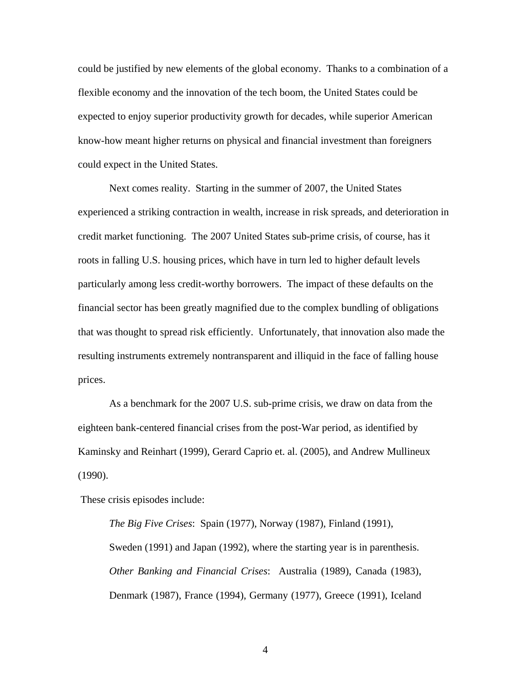could be justified by new elements of the global economy. Thanks to a combination of a flexible economy and the innovation of the tech boom, the United States could be expected to enjoy superior productivity growth for decades, while superior American know-how meant higher returns on physical and financial investment than foreigners could expect in the United States.

Next comes reality. Starting in the summer of 2007, the United States experienced a striking contraction in wealth, increase in risk spreads, and deterioration in credit market functioning. The 2007 United States sub-prime crisis, of course, has it roots in falling U.S. housing prices, which have in turn led to higher default levels particularly among less credit-worthy borrowers. The impact of these defaults on the financial sector has been greatly magnified due to the complex bundling of obligations that was thought to spread risk efficiently. Unfortunately, that innovation also made the resulting instruments extremely nontransparent and illiquid in the face of falling house prices.

As a benchmark for the 2007 U.S. sub-prime crisis, we draw on data from the eighteen bank-centered financial crises from the post-War period, as identified by Kaminsky and Reinhart (1999), Gerard Caprio et. al. (2005), and Andrew Mullineux (1990).

These crisis episodes include:

*The Big Five Crises*: Spain (1977), Norway (1987), Finland (1991), Sweden (1991) and Japan (1992), where the starting year is in parenthesis. *Other Banking and Financial Crises*: Australia (1989), Canada (1983), Denmark (1987), France (1994), Germany (1977), Greece (1991), Iceland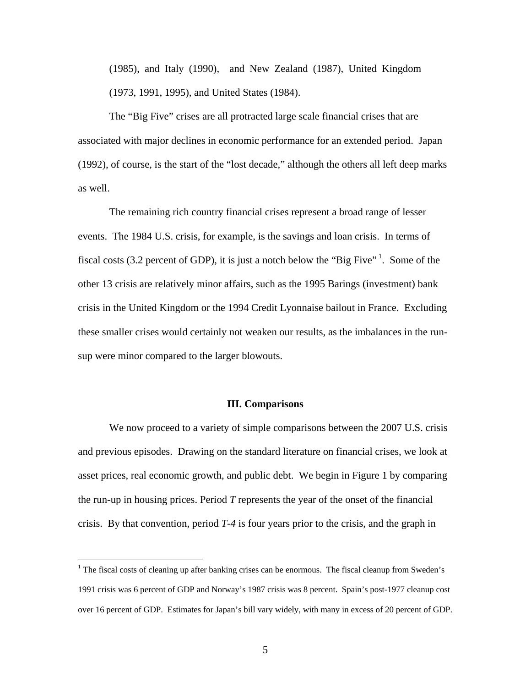(1985), and Italy (1990), and New Zealand (1987), United Kingdom (1973, 1991, 1995), and United States (1984).

 The "Big Five" crises are all protracted large scale financial crises that are associated with major declines in economic performance for an extended period. Japan (1992), of course, is the start of the "lost decade," although the others all left deep marks as well.

 The remaining rich country financial crises represent a broad range of lesser events. The 1984 U.S. crisis, for example, is the savings and loan crisis. In terms of fiscal costs (3.2 percent of GDP), it is just a notch below the "Big Five"<sup>1</sup>. Some of the other 13 crisis are relatively minor affairs, such as the 1995 Barings (investment) bank crisis in the United Kingdom or the 1994 Credit Lyonnaise bailout in France. Excluding these smaller crises would certainly not weaken our results, as the imbalances in the runsup were minor compared to the larger blowouts.

### **III. Comparisons**

We now proceed to a variety of simple comparisons between the 2007 U.S. crisis and previous episodes. Drawing on the standard literature on financial crises, we look at asset prices, real economic growth, and public debt. We begin in Figure 1 by comparing the run-up in housing prices. Period *T* represents the year of the onset of the financial crisis. By that convention, period *T-4* is four years prior to the crisis, and the graph in

<sup>&</sup>lt;sup>1</sup> The fiscal costs of cleaning up after banking crises can be enormous. The fiscal cleanup from Sweden's 1991 crisis was 6 percent of GDP and Norway's 1987 crisis was 8 percent. Spain's post-1977 cleanup cost over 16 percent of GDP. Estimates for Japan's bill vary widely, with many in excess of 20 percent of GDP.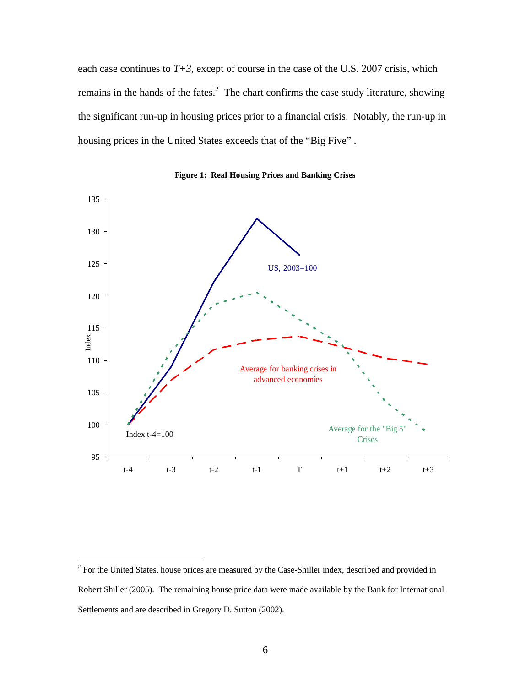each case continues to  $T+3$ , except of course in the case of the U.S. 2007 crisis, which remains in the hands of the fates.<sup>2</sup> The chart confirms the case study literature, showing the significant run-up in housing prices prior to a financial crisis. Notably, the run-up in housing prices in the United States exceeds that of the "Big Five" .



**Figure 1: Real Housing Prices and Banking Crises**

<sup>&</sup>lt;sup>2</sup> For the United States, house prices are measured by the Case-Shiller index, described and provided in Robert Shiller (2005). The remaining house price data were made available by the Bank for International Settlements and are described in Gregory D. Sutton (2002).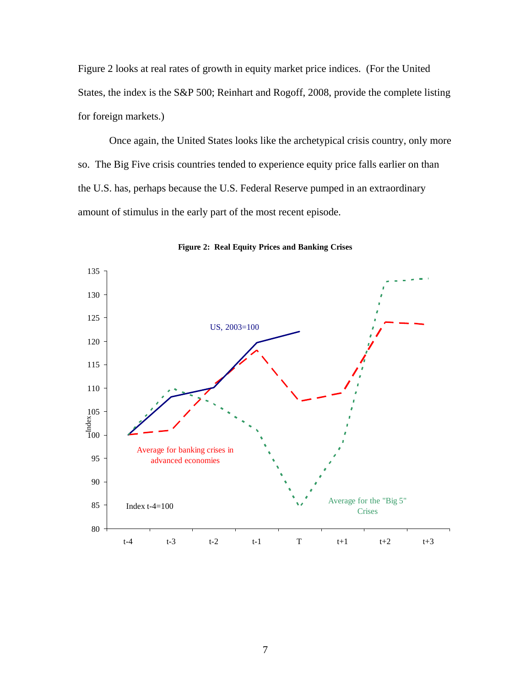Figure 2 looks at real rates of growth in equity market price indices. (For the United States, the index is the S&P 500; Reinhart and Rogoff, 2008, provide the complete listing for foreign markets.)

Once again, the United States looks like the archetypical crisis country, only more so. The Big Five crisis countries tended to experience equity price falls earlier on than the U.S. has, perhaps because the U.S. Federal Reserve pumped in an extraordinary amount of stimulus in the early part of the most recent episode.



**Figure 2: Real Equity Prices and Banking Crises**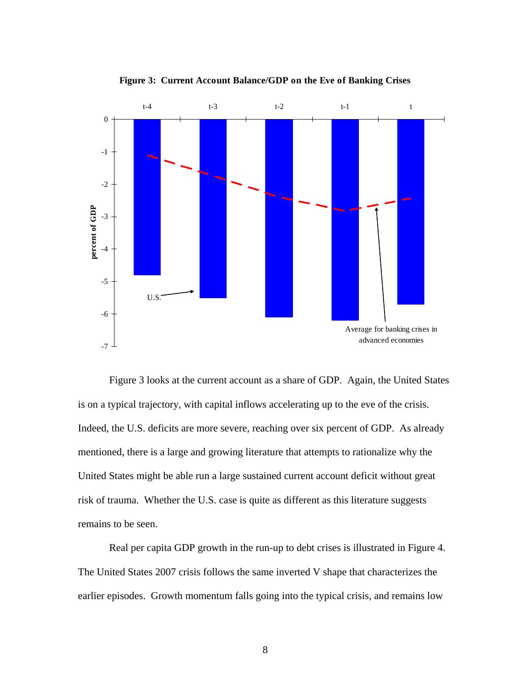

**Figure 3: Current Account Balance/GDP on the Eve of Banking Crises**

Figure 3 looks at the current account as a share of GDP. Again, the United States is on a typical trajectory, with capital inflows accelerating up to the eve of the crisis. Indeed, the U.S. deficits are more severe, reaching over six percent of GDP. As already mentioned, there is a large and growing literature that attempts to rationalize why the United States might be able run a large sustained current account deficit without great risk of trauma. Whether the U.S. case is quite as different as this literature suggests remains to be seen.

 Real per capita GDP growth in the run-up to debt crises is illustrated in Figure 4. The United States 2007 crisis follows the same inverted V shape that characterizes the earlier episodes. Growth momentum falls going into the typical crisis, and remains low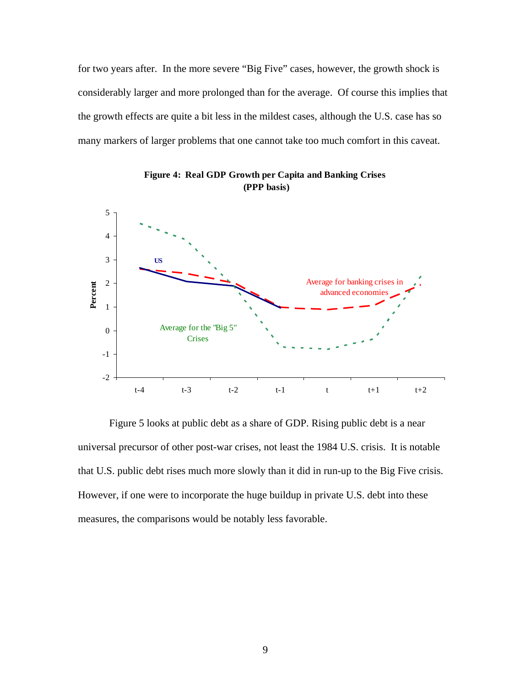for two years after. In the more severe "Big Five" cases, however, the growth shock is considerably larger and more prolonged than for the average. Of course this implies that the growth effects are quite a bit less in the mildest cases, although the U.S. case has so many markers of larger problems that one cannot take too much comfort in this caveat.



**Figure 4: Real GDP Growth per Capita and Banking Crises (PPP basis)**

Figure 5 looks at public debt as a share of GDP. Rising public debt is a near universal precursor of other post-war crises, not least the 1984 U.S. crisis. It is notable that U.S. public debt rises much more slowly than it did in run-up to the Big Five crisis. However, if one were to incorporate the huge buildup in private U.S. debt into these measures, the comparisons would be notably less favorable.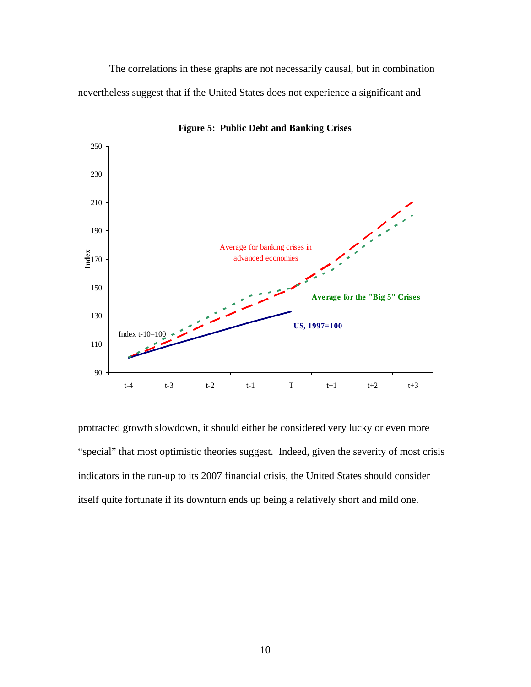The correlations in these graphs are not necessarily causal, but in combination nevertheless suggest that if the United States does not experience a significant and



**Figure 5: Public Debt and Banking Crises**

protracted growth slowdown, it should either be considered very lucky or even more "special" that most optimistic theories suggest. Indeed, given the severity of most crisis indicators in the run-up to its 2007 financial crisis, the United States should consider itself quite fortunate if its downturn ends up being a relatively short and mild one.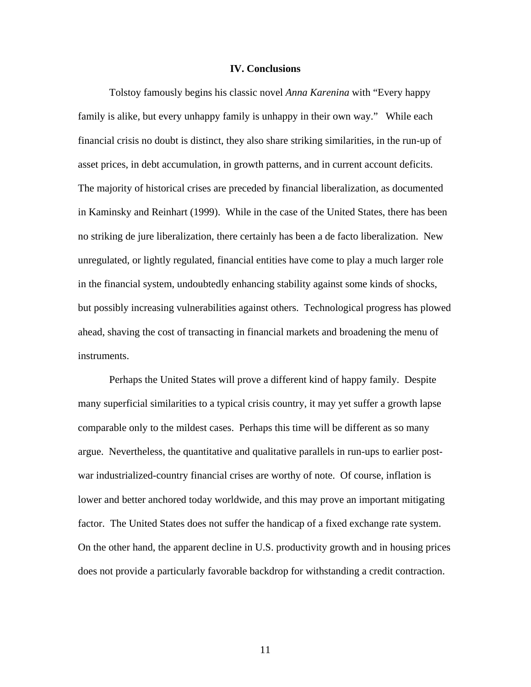## **IV. Conclusions**

 Tolstoy famously begins his classic novel *Anna Karenina* with "Every happy family is alike, but every unhappy family is unhappy in their own way." While each financial crisis no doubt is distinct, they also share striking similarities, in the run-up of asset prices, in debt accumulation, in growth patterns, and in current account deficits. The majority of historical crises are preceded by financial liberalization, as documented in Kaminsky and Reinhart (1999). While in the case of the United States, there has been no striking de jure liberalization, there certainly has been a de facto liberalization. New unregulated, or lightly regulated, financial entities have come to play a much larger role in the financial system, undoubtedly enhancing stability against some kinds of shocks, but possibly increasing vulnerabilities against others. Technological progress has plowed ahead, shaving the cost of transacting in financial markets and broadening the menu of instruments.

Perhaps the United States will prove a different kind of happy family. Despite many superficial similarities to a typical crisis country, it may yet suffer a growth lapse comparable only to the mildest cases. Perhaps this time will be different as so many argue. Nevertheless, the quantitative and qualitative parallels in run-ups to earlier postwar industrialized-country financial crises are worthy of note. Of course, inflation is lower and better anchored today worldwide, and this may prove an important mitigating factor. The United States does not suffer the handicap of a fixed exchange rate system. On the other hand, the apparent decline in U.S. productivity growth and in housing prices does not provide a particularly favorable backdrop for withstanding a credit contraction.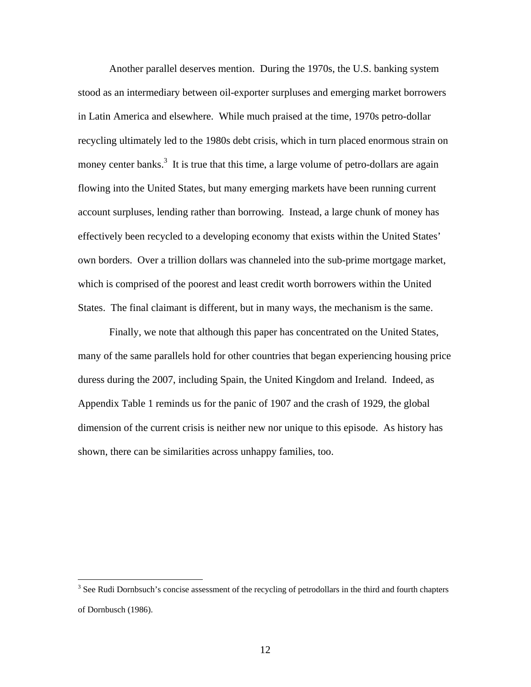Another parallel deserves mention. During the 1970s, the U.S. banking system stood as an intermediary between oil-exporter surpluses and emerging market borrowers in Latin America and elsewhere. While much praised at the time, 1970s petro-dollar recycling ultimately led to the 1980s debt crisis, which in turn placed enormous strain on money center banks.<sup>3</sup> It is true that this time, a large volume of petro-dollars are again flowing into the United States, but many emerging markets have been running current account surpluses, lending rather than borrowing. Instead, a large chunk of money has effectively been recycled to a developing economy that exists within the United States' own borders. Over a trillion dollars was channeled into the sub-prime mortgage market, which is comprised of the poorest and least credit worth borrowers within the United States. The final claimant is different, but in many ways, the mechanism is the same.

 Finally, we note that although this paper has concentrated on the United States, many of the same parallels hold for other countries that began experiencing housing price duress during the 2007, including Spain, the United Kingdom and Ireland. Indeed, as Appendix Table 1 reminds us for the panic of 1907 and the crash of 1929, the global dimension of the current crisis is neither new nor unique to this episode. As history has shown, there can be similarities across unhappy families, too.

 $\overline{a}$ 

<sup>&</sup>lt;sup>3</sup> See Rudi Dornbsuch's concise assessment of the recycling of petrodollars in the third and fourth chapters of Dornbusch (1986).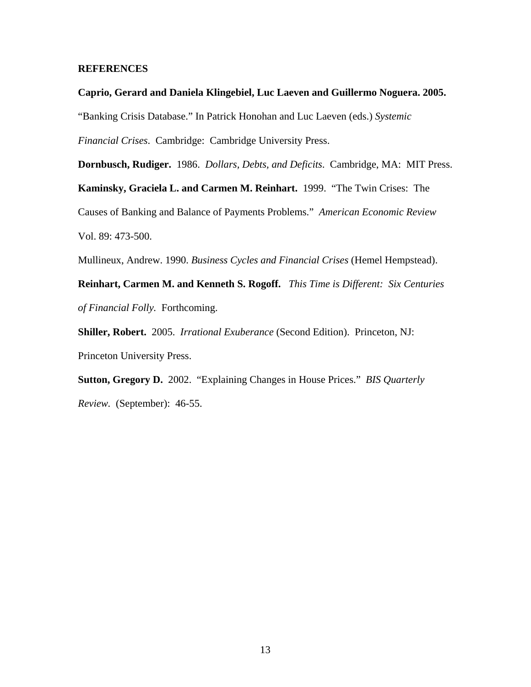# **REFERENCES**

**Caprio, Gerard and Daniela Klingebiel, Luc Laeven and Guillermo Noguera. 2005.**  "Banking Crisis Database." In Patrick Honohan and Luc Laeven (eds.) *Systemic Financial Crises*. Cambridge: Cambridge University Press.

**Dornbusch, Rudiger.** 1986. *Dollars, Debts, and Deficits*. Cambridge, MA: MIT Press. **Kaminsky, Graciela L. and Carmen M. Reinhart.** 1999. "The Twin Crises: The Causes of Banking and Balance of Payments Problems." *American Economic Review* Vol. 89: 473-500.

Mullineux, Andrew. 1990. *Business Cycles and Financial Crises* (Hemel Hempstead).

**Reinhart, Carmen M. and Kenneth S. Rogoff.** *This Time is Different: Six Centuries of Financial Folly.* Forthcoming.

**Shiller, Robert.** 2005. *Irrational Exuberance* (Second Edition). Princeton, NJ: Princeton University Press.

**Sutton, Gregory D.** 2002. "Explaining Changes in House Prices." *BIS Quarterly Review.* (September): 46-55.